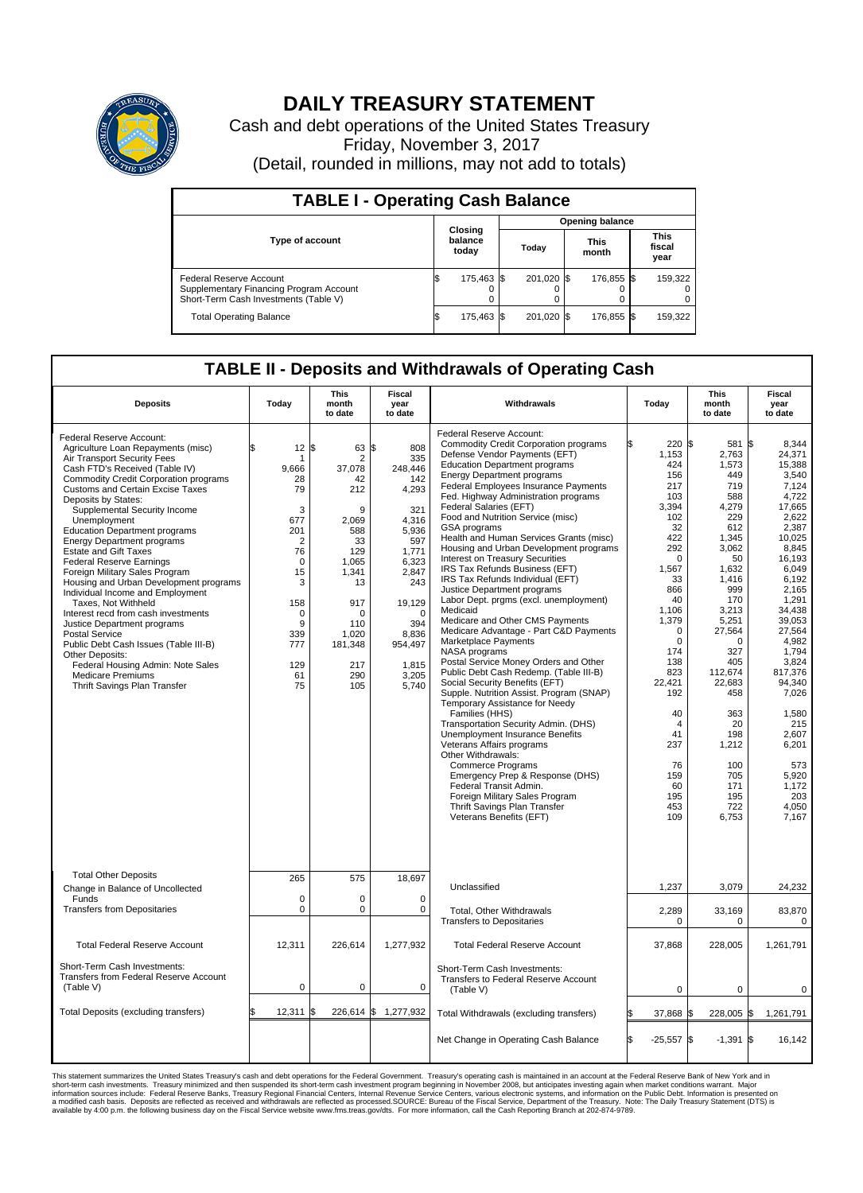

## **DAILY TREASURY STATEMENT**

Cash and debt operations of the United States Treasury Friday, November 3, 2017 (Detail, rounded in millions, may not add to totals)

| <b>TABLE I - Operating Cash Balance</b>                                                                            |  |                             |  |                        |  |                      |  |                               |  |  |  |
|--------------------------------------------------------------------------------------------------------------------|--|-----------------------------|--|------------------------|--|----------------------|--|-------------------------------|--|--|--|
|                                                                                                                    |  | Closing<br>balance<br>today |  | <b>Opening balance</b> |  |                      |  |                               |  |  |  |
| <b>Type of account</b>                                                                                             |  |                             |  | Today                  |  | <b>This</b><br>month |  | <b>This</b><br>fiscal<br>year |  |  |  |
| <b>Federal Reserve Account</b><br>Supplementary Financing Program Account<br>Short-Term Cash Investments (Table V) |  | 175,463 \$                  |  | 201,020 \$             |  | 176,855 \$           |  | 159,322                       |  |  |  |
| <b>Total Operating Balance</b>                                                                                     |  | 175,463 \$                  |  | 201,020 \$             |  | 176,855 \$           |  | 159,322                       |  |  |  |

## **TABLE II - Deposits and Withdrawals of Operating Cash**

| <b>Deposits</b>                                                                                                                                                                                                                                                                                                                                                                                                                                                                                                                                                                                                                                                                                                                                                                                                                                      | Today                                                                                                                                                                                | <b>This</b><br>month<br>to date                                                                                                                                | <b>Fiscal</b><br>year<br>to date                                                                                                                                                    | Withdrawals                                                                                                                                                                                                                                                                                                                                                                                                                                                                                                                                                                                                                                                                                                                                                                                                                                                                                                                                                                                                                                                                                                                                                                                                                                                                                             |     | Today                                                                                                                                                                                                                                                                                   | <b>This</b><br>month<br>to date                                                                                                                                                                                                                                                      | Fiscal<br>year<br>to date                                                                                                                                                                                                                                                                                                           |
|------------------------------------------------------------------------------------------------------------------------------------------------------------------------------------------------------------------------------------------------------------------------------------------------------------------------------------------------------------------------------------------------------------------------------------------------------------------------------------------------------------------------------------------------------------------------------------------------------------------------------------------------------------------------------------------------------------------------------------------------------------------------------------------------------------------------------------------------------|--------------------------------------------------------------------------------------------------------------------------------------------------------------------------------------|----------------------------------------------------------------------------------------------------------------------------------------------------------------|-------------------------------------------------------------------------------------------------------------------------------------------------------------------------------------|---------------------------------------------------------------------------------------------------------------------------------------------------------------------------------------------------------------------------------------------------------------------------------------------------------------------------------------------------------------------------------------------------------------------------------------------------------------------------------------------------------------------------------------------------------------------------------------------------------------------------------------------------------------------------------------------------------------------------------------------------------------------------------------------------------------------------------------------------------------------------------------------------------------------------------------------------------------------------------------------------------------------------------------------------------------------------------------------------------------------------------------------------------------------------------------------------------------------------------------------------------------------------------------------------------|-----|-----------------------------------------------------------------------------------------------------------------------------------------------------------------------------------------------------------------------------------------------------------------------------------------|--------------------------------------------------------------------------------------------------------------------------------------------------------------------------------------------------------------------------------------------------------------------------------------|-------------------------------------------------------------------------------------------------------------------------------------------------------------------------------------------------------------------------------------------------------------------------------------------------------------------------------------|
| Federal Reserve Account:<br>Agriculture Loan Repayments (misc)<br>Air Transport Security Fees<br>Cash FTD's Received (Table IV)<br><b>Commodity Credit Corporation programs</b><br><b>Customs and Certain Excise Taxes</b><br>Deposits by States:<br>Supplemental Security Income<br>Unemployment<br><b>Education Department programs</b><br><b>Energy Department programs</b><br><b>Estate and Gift Taxes</b><br><b>Federal Reserve Earnings</b><br>Foreign Military Sales Program<br>Housing and Urban Development programs<br>Individual Income and Employment<br>Taxes, Not Withheld<br>Interest recd from cash investments<br>Justice Department programs<br><b>Postal Service</b><br>Public Debt Cash Issues (Table III-B)<br>Other Deposits:<br>Federal Housing Admin: Note Sales<br><b>Medicare Premiums</b><br>Thrift Savings Plan Transfer | $12 \,$ $\uparrow$<br>\$<br>-1<br>9,666<br>28<br>79<br>3<br>677<br>201<br>$\overline{2}$<br>76<br>$\mathbf 0$<br>15<br>3<br>158<br>$\mathbf 0$<br>9<br>339<br>777<br>129<br>61<br>75 | 63 \$<br>2<br>37,078<br>42<br>212<br>9<br>2,069<br>588<br>33<br>129<br>1.065<br>1,341<br>13<br>917<br>$\Omega$<br>110<br>1,020<br>181,348<br>217<br>290<br>105 | 808<br>335<br>248,446<br>142<br>4,293<br>321<br>4,316<br>5,936<br>597<br>1,771<br>6,323<br>2,847<br>243<br>19,129<br>$\Omega$<br>394<br>8,836<br>954,497<br>1,815<br>3,205<br>5,740 | Federal Reserve Account:<br><b>Commodity Credit Corporation programs</b><br>Defense Vendor Payments (EFT)<br><b>Education Department programs</b><br><b>Energy Department programs</b><br>Federal Employees Insurance Payments<br>Fed. Highway Administration programs<br>Federal Salaries (EFT)<br>Food and Nutrition Service (misc)<br>GSA programs<br>Health and Human Services Grants (misc)<br>Housing and Urban Development programs<br>Interest on Treasury Securities<br>IRS Tax Refunds Business (EFT)<br>IRS Tax Refunds Individual (EFT)<br>Justice Department programs<br>Labor Dept. prgms (excl. unemployment)<br>Medicaid<br>Medicare and Other CMS Payments<br>Medicare Advantage - Part C&D Payments<br>Marketplace Payments<br>NASA programs<br>Postal Service Money Orders and Other<br>Public Debt Cash Redemp. (Table III-B)<br>Social Security Benefits (EFT)<br>Supple. Nutrition Assist. Program (SNAP)<br>Temporary Assistance for Needy<br>Families (HHS)<br>Transportation Security Admin. (DHS)<br>Unemployment Insurance Benefits<br>Veterans Affairs programs<br>Other Withdrawals:<br><b>Commerce Programs</b><br>Emergency Prep & Response (DHS)<br>Federal Transit Admin.<br>Foreign Military Sales Program<br>Thrift Savings Plan Transfer<br>Veterans Benefits (EFT) |     | 220 \$<br>1,153<br>424<br>156<br>217<br>103<br>3,394<br>102<br>32<br>422<br>292<br>$\Omega$<br>1,567<br>33<br>866<br>40<br>1,106<br>1,379<br>$\mathbf 0$<br>$\Omega$<br>174<br>138<br>823<br>22.421<br>192<br>40<br>$\overline{4}$<br>41<br>237<br>76<br>159<br>60<br>195<br>453<br>109 | 581<br>2,763<br>1,573<br>449<br>719<br>588<br>4,279<br>229<br>612<br>1,345<br>3.062<br>50<br>1.632<br>1,416<br>999<br>170<br>3,213<br>5,251<br>27,564<br>$\Omega$<br>327<br>405<br>112,674<br>22.683<br>458<br>363<br>20<br>198<br>1,212<br>100<br>705<br>171<br>195<br>722<br>6,753 | l\$<br>8,344<br>24,371<br>15,388<br>3.540<br>7,124<br>4,722<br>17.665<br>2.622<br>2,387<br>10,025<br>8.845<br>16,193<br>6.049<br>6,192<br>2.165<br>1,291<br>34,438<br>39,053<br>27,564<br>4.982<br>1,794<br>3,824<br>817,376<br>94.340<br>7,026<br>1.580<br>215<br>2.607<br>6,201<br>573<br>5,920<br>1,172<br>203<br>4.050<br>7,167 |
| <b>Total Other Deposits</b><br>Change in Balance of Uncollected                                                                                                                                                                                                                                                                                                                                                                                                                                                                                                                                                                                                                                                                                                                                                                                      | 265                                                                                                                                                                                  | 575                                                                                                                                                            | 18,697                                                                                                                                                                              | Unclassified                                                                                                                                                                                                                                                                                                                                                                                                                                                                                                                                                                                                                                                                                                                                                                                                                                                                                                                                                                                                                                                                                                                                                                                                                                                                                            |     | 1,237                                                                                                                                                                                                                                                                                   | 3,079                                                                                                                                                                                                                                                                                | 24,232                                                                                                                                                                                                                                                                                                                              |
| Funds<br><b>Transfers from Depositaries</b>                                                                                                                                                                                                                                                                                                                                                                                                                                                                                                                                                                                                                                                                                                                                                                                                          | $\mathbf 0$<br>$\mathbf 0$                                                                                                                                                           | 0<br>0                                                                                                                                                         | $\mathbf 0$<br>0                                                                                                                                                                    | Total, Other Withdrawals<br><b>Transfers to Depositaries</b>                                                                                                                                                                                                                                                                                                                                                                                                                                                                                                                                                                                                                                                                                                                                                                                                                                                                                                                                                                                                                                                                                                                                                                                                                                            |     | 2,289<br>$\mathbf 0$                                                                                                                                                                                                                                                                    | 33,169<br>$\mathbf 0$                                                                                                                                                                                                                                                                | 83,870<br>$\pmb{0}$                                                                                                                                                                                                                                                                                                                 |
| <b>Total Federal Reserve Account</b>                                                                                                                                                                                                                                                                                                                                                                                                                                                                                                                                                                                                                                                                                                                                                                                                                 | 12.311                                                                                                                                                                               | 226,614                                                                                                                                                        | 1,277,932                                                                                                                                                                           | <b>Total Federal Reserve Account</b>                                                                                                                                                                                                                                                                                                                                                                                                                                                                                                                                                                                                                                                                                                                                                                                                                                                                                                                                                                                                                                                                                                                                                                                                                                                                    |     | 37,868                                                                                                                                                                                                                                                                                  | 228,005                                                                                                                                                                                                                                                                              | 1,261,791                                                                                                                                                                                                                                                                                                                           |
| Short-Term Cash Investments:<br>Transfers from Federal Reserve Account<br>(Table V)                                                                                                                                                                                                                                                                                                                                                                                                                                                                                                                                                                                                                                                                                                                                                                  | $\pmb{0}$                                                                                                                                                                            | 0                                                                                                                                                              | $\mathbf 0$                                                                                                                                                                         | Short-Term Cash Investments:<br>Transfers to Federal Reserve Account<br>(Table V)                                                                                                                                                                                                                                                                                                                                                                                                                                                                                                                                                                                                                                                                                                                                                                                                                                                                                                                                                                                                                                                                                                                                                                                                                       |     | 0                                                                                                                                                                                                                                                                                       | $\mathbf 0$                                                                                                                                                                                                                                                                          | $\mathbf 0$                                                                                                                                                                                                                                                                                                                         |
| Total Deposits (excluding transfers)                                                                                                                                                                                                                                                                                                                                                                                                                                                                                                                                                                                                                                                                                                                                                                                                                 | 12,311                                                                                                                                                                               | \$                                                                                                                                                             | 226,614 \$ 1,277,932                                                                                                                                                                | Total Withdrawals (excluding transfers)                                                                                                                                                                                                                                                                                                                                                                                                                                                                                                                                                                                                                                                                                                                                                                                                                                                                                                                                                                                                                                                                                                                                                                                                                                                                 |     | 37,868 \$                                                                                                                                                                                                                                                                               | 228,005 \$                                                                                                                                                                                                                                                                           | 1,261,791                                                                                                                                                                                                                                                                                                                           |
|                                                                                                                                                                                                                                                                                                                                                                                                                                                                                                                                                                                                                                                                                                                                                                                                                                                      |                                                                                                                                                                                      |                                                                                                                                                                |                                                                                                                                                                                     | Net Change in Operating Cash Balance                                                                                                                                                                                                                                                                                                                                                                                                                                                                                                                                                                                                                                                                                                                                                                                                                                                                                                                                                                                                                                                                                                                                                                                                                                                                    | l\$ | $-25,557$ \$                                                                                                                                                                                                                                                                            | $-1,391$                                                                                                                                                                                                                                                                             | l\$<br>16,142                                                                                                                                                                                                                                                                                                                       |

This statement summarizes the United States Treasury's cash and debt operations for the Federal Government. Treasury operating in November 2008, but anticinates investing again when market conditions warrant. Major York an